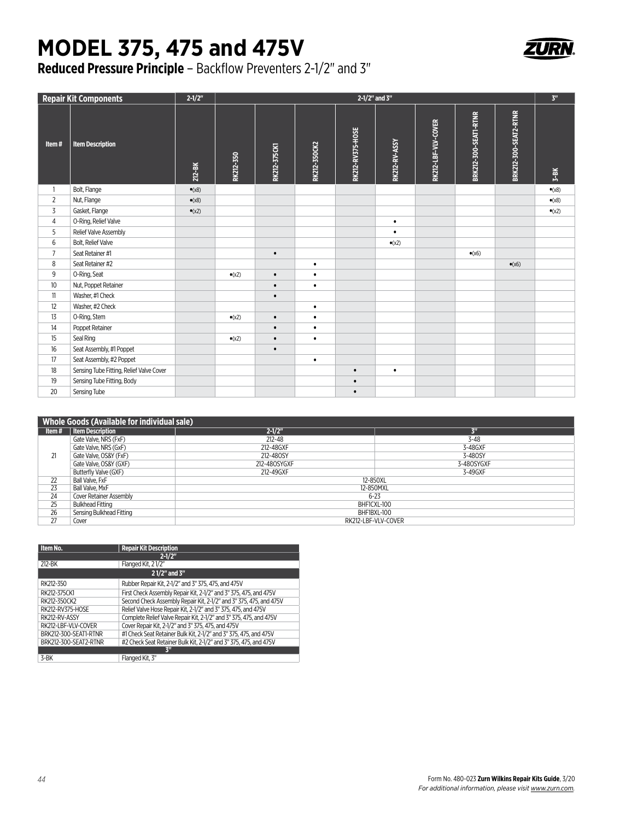## **MODEL 375, 475 and 475V**



**Reduced Pressure Principle** – Backflow Preventers 2-1/2" and 3"

| <b>Repair Kit Components</b> |                                          | $2 - 1/2$      | 2-1/2" and 3"  |                     |                     |                         |                |                     |                              | 3 <sup>n</sup>               |                |
|------------------------------|------------------------------------------|----------------|----------------|---------------------|---------------------|-------------------------|----------------|---------------------|------------------------------|------------------------------|----------------|
| Item#                        | <b>Item Description</b>                  | $212 - BK$     | RK212-350      | <b>RK212-375CK1</b> | <b>RK212-350CK2</b> | <b>RK212-RV375-HOSE</b> | RK212-RV-ASSY  | RK212-LBF-VLV-COVER | <b>BRK212-300-SEATI-RTNR</b> | <b>BRK212-300-SEAT2-RTNR</b> | $3 - 8K$       |
| $\mathbf{1}$                 | Bolt, Flange                             | $\bullet$ (x8) |                |                     |                     |                         |                |                     |                              |                              | $\bullet$ (x8) |
| $\overline{2}$               | Nut, Flange                              | $\bullet$ (x8) |                |                     |                     |                         |                |                     |                              |                              | $\bullet$ (x8) |
| 3                            | Gasket, Flange                           | $\bullet$ (x2) |                |                     |                     |                         |                |                     |                              |                              | $\bullet$ (x2) |
| 4                            | O-Ring, Relief Valve                     |                |                |                     |                     |                         | $\bullet$      |                     |                              |                              |                |
| 5                            | Relief Valve Assembly                    |                |                |                     |                     |                         | $\bullet$      |                     |                              |                              |                |
| 6                            | Bolt, Relief Valve                       |                |                |                     |                     |                         | $\bullet$ (x2) |                     |                              |                              |                |
| $\overline{7}$               | Seat Retainer #1                         |                |                | $\bullet$           |                     |                         |                |                     | $\bullet$ (x6)               |                              |                |
| 8                            | Seat Retainer #2                         |                |                |                     | $\bullet$           |                         |                |                     |                              | $\bullet$ (x6)               |                |
| 9                            | O-Ring, Seat                             |                | $\bullet$ (x2) | $\bullet$           | $\bullet$           |                         |                |                     |                              |                              |                |
| 10                           | Nut, Poppet Retainer                     |                |                | $\bullet$           | $\bullet$           |                         |                |                     |                              |                              |                |
| 11                           | Washer, #1 Check                         |                |                | $\bullet$           |                     |                         |                |                     |                              |                              |                |
| 12                           | Washer, #2 Check                         |                |                |                     | $\bullet$           |                         |                |                     |                              |                              |                |
| 13                           | O-Ring, Stem                             |                | $\bullet$ (x2) | $\bullet$           | $\bullet$           |                         |                |                     |                              |                              |                |
| 14                           | Poppet Retainer                          |                |                | $\bullet$           | $\bullet$           |                         |                |                     |                              |                              |                |
| 15                           | Seal Ring                                |                | $\bullet$ (x2) | $\bullet$           | $\bullet$           |                         |                |                     |                              |                              |                |
| 16                           | Seat Assembly, #1 Poppet                 |                |                | $\bullet$           |                     |                         |                |                     |                              |                              |                |
| 17                           | Seat Assembly, #2 Poppet                 |                |                |                     | $\bullet$           |                         |                |                     |                              |                              |                |
| 18                           | Sensing Tube Fitting, Relief Valve Cover |                |                |                     |                     | $\bullet$               | $\bullet$      |                     |                              |                              |                |
| 19                           | Sensing Tube Fitting, Body               |                |                |                     |                     | $\bullet$               |                |                     |                              |                              |                |
| 20                           | Sensing Tube                             |                |                |                     |                     | $\bullet$               |                |                     |                              |                              |                |

| <b>Whole Goods (Available for individual sale)</b> |                                |                     |                |  |  |  |  |
|----------------------------------------------------|--------------------------------|---------------------|----------------|--|--|--|--|
| Item #                                             | Item Description               | $2 - 1/2$ "         | $\overline{3}$ |  |  |  |  |
| 21                                                 | Gate Valve, NRS (FxF)          | $212 - 48$          | $3 - 48$       |  |  |  |  |
|                                                    | Gate Valve, NRS (GxF)          | 212-48GXF           | 3-48GXF        |  |  |  |  |
|                                                    | Gate Valve, OS&Y (FxF)         | 212-480SY           | 3-480SY        |  |  |  |  |
|                                                    | Gate Valve, OS&Y (GXF)         | 212-480SYGXF        | 3-480SYGXF     |  |  |  |  |
|                                                    | Butterfly Valve (GXF)          | 212-49GXF           | 3-49GXF        |  |  |  |  |
| 22                                                 | Ball Valve, FxF                | 12-850XL            |                |  |  |  |  |
| 23                                                 | Ball Valve, MxF                | 12-850MXL           |                |  |  |  |  |
| 24                                                 | <b>Cover Retainer Assembly</b> | $6 - 23$            |                |  |  |  |  |
| 25                                                 | <b>Bulkhead Fitting</b>        | BHF1CXL-100         |                |  |  |  |  |
| 26                                                 | Sensing Bulkhead Fitting       | BHF1BXL-100         |                |  |  |  |  |
| 27                                                 | Cover                          | RK212-LBF-VLV-COVER |                |  |  |  |  |

| Item No.              | <b>Repair Kit Description</b>                                      |  |  |  |  |
|-----------------------|--------------------------------------------------------------------|--|--|--|--|
|                       | $2 - 1/2"$                                                         |  |  |  |  |
| 212-BK                | Flanged Kit, 21/2"                                                 |  |  |  |  |
| 21/2" and 3"          |                                                                    |  |  |  |  |
| RK212-350             | Rubber Repair Kit, 2-1/2" and 3" 375, 475, and 475V                |  |  |  |  |
| RK212-375CK1          | First Check Assembly Repair Kit, 2-1/2" and 3" 375, 475, and 475V  |  |  |  |  |
| RK212-350CK2          | Second Check Assembly Repair Kit. 2-1/2" and 3" 375, 475, and 475V |  |  |  |  |
| RK212-RV375-HOSE      | Relief Valve Hose Repair Kit. 2-1/2" and 3" 375, 475, and 475V     |  |  |  |  |
| RK212-RV-ASSY         | Complete Relief Valve Repair Kit, 2-1/2" and 3" 375, 475, and 475V |  |  |  |  |
| RK212-LBF-VLV-COVER   | Cover Repair Kit. 2-1/2" and 3" 375, 475, and 475V                 |  |  |  |  |
| BRK212-300-SEAT1-RTNR | #1 Check Seat Retainer Bulk Kit. 2-1/2" and 3" 375, 475, and 475V  |  |  |  |  |
| BRK212-300-SEAT2-RTNR | #2 Check Seat Retainer Bulk Kit, 2-1/2" and 3" 375, 475, and 475V  |  |  |  |  |
| ζU                    |                                                                    |  |  |  |  |

3-BK Flanged Kit, 3"